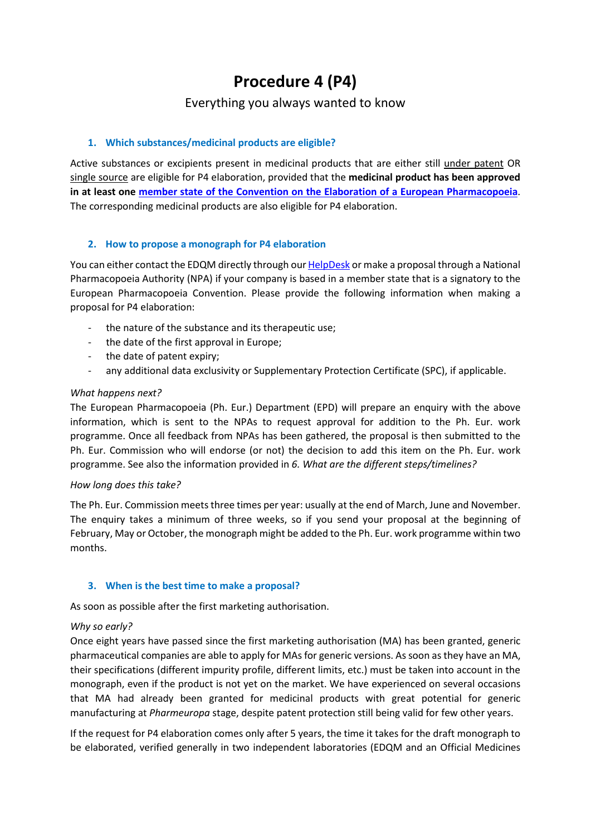# **Procedure 4 (P4)**

# Everything you always wanted to know

# **1. Which substances/medicinal products are eligible?**

Active substances or excipients present in medicinal products that are either still under patent OR single source are eligible for P4 elaboration, provided that the **medicinal product has been approved in at least one [member state of the Convention on the Elaboration of a European Pharmacopoeia](https://www.coe.int/en/web/conventions/full-list?module=signatures-by-treaty&treatynum=050)**. The corresponding medicinal products are also eligible for P4 elaboration.

# **2. How to propose a monograph for P4 elaboration**

You can either contact the EDQM directly through ou[r HelpDesk](http://www.edqm.eu/hd) or make a proposal through a National Pharmacopoeia Authority (NPA) if your company is based in a member state that is a signatory to the European Pharmacopoeia Convention. Please provide the following information when making a proposal for P4 elaboration:

- the nature of the substance and its therapeutic use;
- the date of the first approval in Europe;
- the date of patent expiry;
- any additional data exclusivity or Supplementary Protection Certificate (SPC), if applicable.

#### *What happens next?*

The European Pharmacopoeia (Ph. Eur.) Department (EPD) will prepare an enquiry with the above information, which is sent to the NPAs to request approval for addition to the Ph. Eur. work programme. Once all feedback from NPAs has been gathered, the proposal is then submitted to the Ph. Eur. Commission who will endorse (or not) the decision to add this item on the Ph. Eur. work programme. See also the information provided in *6. What are the different steps/timelines?*

#### *How long does this take?*

The Ph. Eur. Commission meets three times per year: usually at the end of March, June and November. The enquiry takes a minimum of three weeks, so if you send your proposal at the beginning of February, May or October, the monograph might be added to the Ph. Eur. work programme within two months.

#### **3. When is the best time to make a proposal?**

As soon as possible after the first marketing authorisation.

#### *Why so early?*

Once eight years have passed since the first marketing authorisation (MA) has been granted, generic pharmaceutical companies are able to apply for MAs for generic versions. As soon as they have an MA, their specifications (different impurity profile, different limits, etc.) must be taken into account in the monograph, even if the product is not yet on the market. We have experienced on several occasions that MA had already been granted for medicinal products with great potential for generic manufacturing at *Pharmeuropa* stage, despite patent protection still being valid for few other years.

If the request for P4 elaboration comes only after 5 years, the time it takes for the draft monograph to be elaborated, verified generally in two independent laboratories (EDQM and an Official Medicines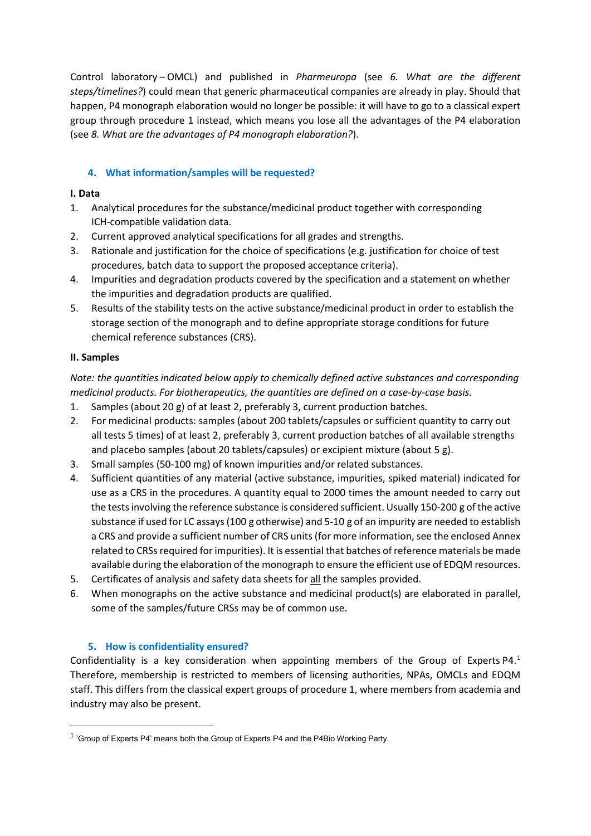Control laboratory – OMCL) and published in *Pharmeuropa* (see *6. What are the different steps/timelines?*) could mean that generic pharmaceutical companies are already in play. Should that happen, P4 monograph elaboration would no longer be possible: it will have to go to a classical expert group through procedure 1 instead, which means you lose all the advantages of the P4 elaboration (see *8. What are the advantages of P4 monograph elaboration?*).

# **4. What information/samples will be requested?**

# **I. Data**

- 1. Analytical procedures for the substance/medicinal product together with corresponding ICH-compatible validation data.
- 2. Current approved analytical specifications for all grades and strengths.
- 3. Rationale and justification for the choice of specifications (e.g. justification for choice of test procedures, batch data to support the proposed acceptance criteria).
- 4. Impurities and degradation products covered by the specification and a statement on whether the impurities and degradation products are qualified.
- 5. Results of the stability tests on the active substance/medicinal product in order to establish the storage section of the monograph and to define appropriate storage conditions for future chemical reference substances (CRS).

# **II. Samples**

*Note: the quantities indicated below apply to chemically defined active substances and corresponding medicinal products. For biotherapeutics, the quantities are defined on a case-by-case basis.*

- 1. Samples (about 20 g) of at least 2, preferably 3, current production batches.
- 2. For medicinal products: samples (about 200 tablets/capsules or sufficient quantity to carry out all tests 5 times) of at least 2, preferably 3, current production batches of all available strengths and placebo samples (about 20 tablets/capsules) or excipient mixture (about 5 g).
- 3. Small samples (50-100 mg) of known impurities and/or related substances.
- 4. Sufficient quantities of any material (active substance, impurities, spiked material) indicated for use as a CRS in the procedures. A quantity equal to 2000 times the amount needed to carry out the tests involving the reference substance is considered sufficient. Usually 150-200 g of the active substance if used for LC assays(100 g otherwise) and 5-10 g of an impurity are needed to establish a CRS and provide a sufficient number of CRS units(for more information, see the enclosed Annex related to CRSsrequired for impurities). It is essential that batches of reference materials be made available during the elaboration of the monograph to ensure the efficient use of EDQM resources.
- 5. Certificates of analysis and safety data sheets for all the samples provided.
- 6. When monographs on the active substance and medicinal product(s) are elaborated in parallel, some of the samples/future CRSs may be of common use.

# **5. How is confidentiality ensured?**

Confidentiality is a key consideration when appointing members of the Group of Experts P4.<sup>[1](#page-1-0)</sup> Therefore, membership is restricted to members of licensing authorities, NPAs, OMCLs and EDQM staff. This differs from the classical expert groups of procedure 1, where members from academia and industry may also be present.

<span id="page-1-0"></span> <sup>1</sup> 'Group of Experts P4' means both the Group of Experts P4 and the P4Bio Working Party.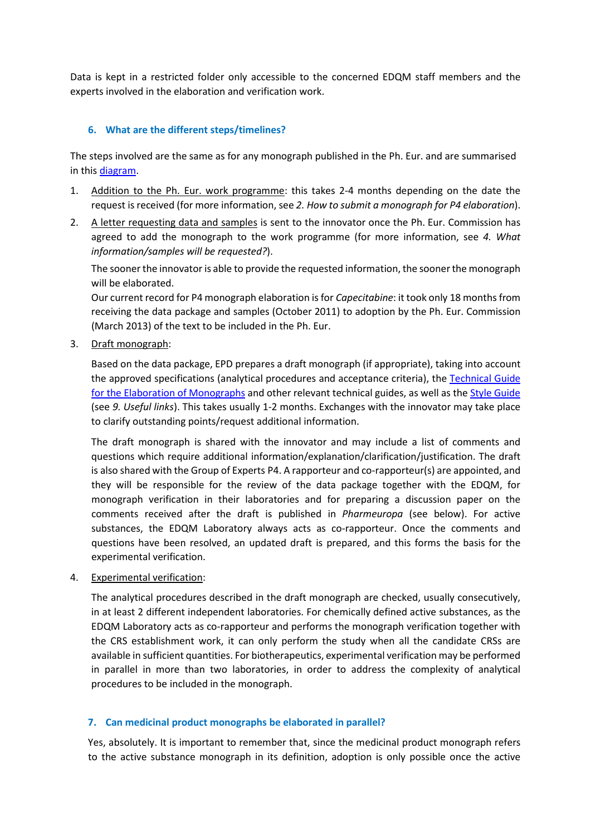Data is kept in a restricted folder only accessible to the concerned EDQM staff members and the experts involved in the elaboration and verification work.

# **6. What are the different steps/timelines?**

The steps involved are the same as for any monograph published in the Ph. Eur. and are summarised in this [diagram.](https://www.edqm.eu/documents/52006/284712/Elaboration+of+a+Monograph+%28Procedure+4%29.pdf/598c9ed4-8f60-1db8-5e38-726be02176f3?t=1638807532211)

- 1. Addition to the Ph. Eur. work programme: this takes 2-4 months depending on the date the request is received (for more information, see *2. How to submit a monograph for P4 elaboration*).
- 2. A letter requesting data and samples is sent to the innovator once the Ph. Eur. Commission has agreed to add the monograph to the work programme (for more information, see *4. What information/samples will be requested?*).

The sooner the innovator is able to provide the requested information, the sooner the monograph will be elaborated.

Our current record for P4 monograph elaboration is for *Capecitabine*: it took only 18 months from receiving the data package and samples (October 2011) to adoption by the Ph. Eur. Commission (March 2013) of the text to be included in the Ph. Eur.

3. Draft monograph:

Based on the data package, EPD prepares a draft monograph (if appropriate), taking into account the approved specifications (analytical procedures and acceptance criteria), the [Technical Guide](https://www.edqm.eu/sites/default/files/medias/fichiers/European_Pharmacopoeia/Find_information_on/Technical_Guides/technical_guide_for_the_elaboration_of_monographs_7th_edition_2015.pdf)  [for the Elaboration](https://www.edqm.eu/sites/default/files/medias/fichiers/European_Pharmacopoeia/Find_information_on/Technical_Guides/technical_guide_for_the_elaboration_of_monographs_7th_edition_2015.pdf) of Monographs and other relevant technical guides, as well as the [Style Guide](https://www.edqm.eu/documents/52006/66549/pheur-style-guide.pdf/eb68c5fb-0b31-8075-bc25-3ab7cedabcaa?t=1623144906508) (see *9. Useful links*). This takes usually 1-2 months. Exchanges with the innovator may take place to clarify outstanding points/request additional information.

The draft monograph is shared with the innovator and may include a list of comments and questions which require additional information/explanation/clarification/justification. The draft is also shared with the Group of Experts P4. A rapporteur and co-rapporteur(s) are appointed, and they will be responsible for the review of the data package together with the EDQM, for monograph verification in their laboratories and for preparing a discussion paper on the comments received after the draft is published in *Pharmeuropa* (see below). For active substances, the EDQM Laboratory always acts as co-rapporteur. Once the comments and questions have been resolved, an updated draft is prepared, and this forms the basis for the experimental verification.

4. Experimental verification:

The analytical procedures described in the draft monograph are checked, usually consecutively, in at least 2 different independent laboratories. For chemically defined active substances, as the EDQM Laboratory acts as co-rapporteur and performs the monograph verification together with the CRS establishment work, it can only perform the study when all the candidate CRSs are available in sufficient quantities. For biotherapeutics, experimental verification may be performed in parallel in more than two laboratories, in order to address the complexity of analytical procedures to be included in the monograph.

#### **7. Can medicinal product monographs be elaborated in parallel?**

Yes, absolutely. It is important to remember that, since the medicinal product monograph refers to the active substance monograph in its definition, adoption is only possible once the active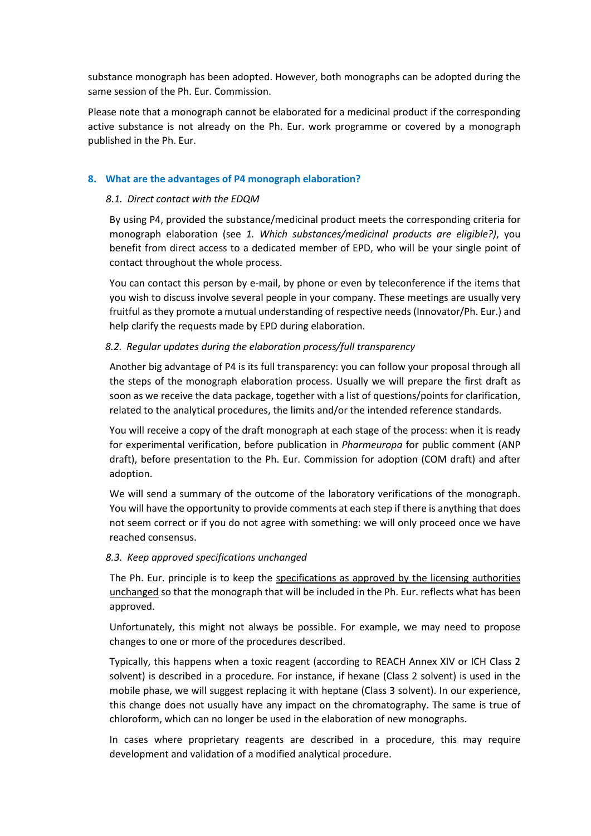substance monograph has been adopted. However, both monographs can be adopted during the same session of the Ph. Eur. Commission.

Please note that a monograph cannot be elaborated for a medicinal product if the corresponding active substance is not already on the Ph. Eur. work programme or covered by a monograph published in the Ph. Eur.

#### **8. What are the advantages of P4 monograph elaboration?**

#### *8.1. Direct contact with the EDQM*

By using P4, provided the substance/medicinal product meets the corresponding criteria for monograph elaboration (see *1. Which substances/medicinal products are eligible?)*, you benefit from direct access to a dedicated member of EPD, who will be your single point of contact throughout the whole process.

You can contact this person by e-mail, by phone or even by teleconference if the items that you wish to discuss involve several people in your company. These meetings are usually very fruitful as they promote a mutual understanding of respective needs (Innovator/Ph. Eur.) and help clarify the requests made by EPD during elaboration.

# *8.2. Regular updates during the elaboration process/full transparency*

Another big advantage of P4 is its full transparency: you can follow your proposal through all the steps of the monograph elaboration process. Usually we will prepare the first draft as soon as we receive the data package, together with a list of questions/points for clarification, related to the analytical procedures, the limits and/or the intended reference standards.

You will receive a copy of the draft monograph at each stage of the process: when it is ready for experimental verification, before publication in *Pharmeuropa* for public comment (ANP draft), before presentation to the Ph. Eur. Commission for adoption (COM draft) and after adoption.

We will send a summary of the outcome of the laboratory verifications of the monograph. You will have the opportunity to provide comments at each step if there is anything that does not seem correct or if you do not agree with something: we will only proceed once we have reached consensus.

#### *8.3. Keep approved specifications unchanged*

The Ph. Eur. principle is to keep the specifications as approved by the licensing authorities unchanged so that the monograph that will be included in the Ph. Eur. reflects what has been approved.

Unfortunately, this might not always be possible. For example, we may need to propose changes to one or more of the procedures described.

Typically, this happens when a toxic reagent (according to REACH Annex XIV or ICH Class 2 solvent) is described in a procedure. For instance, if hexane (Class 2 solvent) is used in the mobile phase, we will suggest replacing it with heptane (Class 3 solvent). In our experience, this change does not usually have any impact on the chromatography. The same is true of chloroform, which can no longer be used in the elaboration of new monographs.

In cases where proprietary reagents are described in a procedure, this may require development and validation of a modified analytical procedure.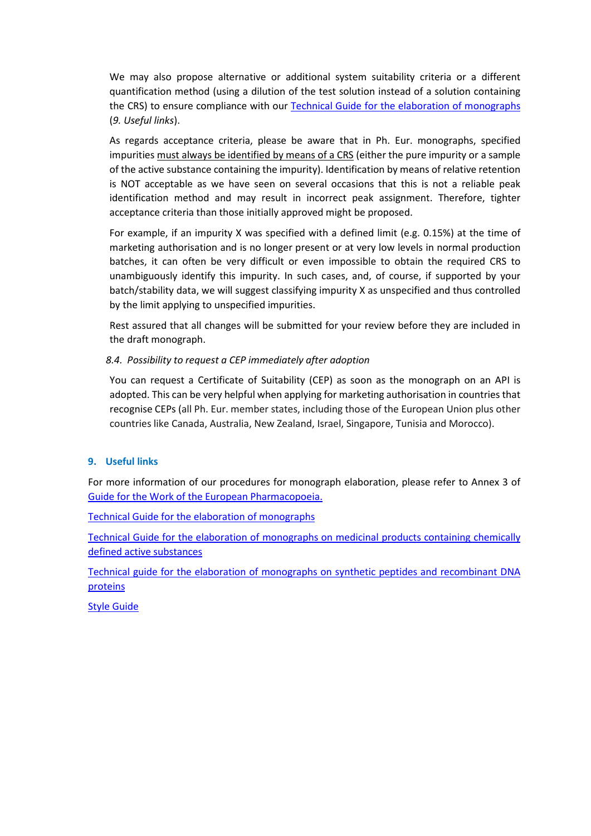We may also propose alternative or additional system suitability criteria or a different quantification method (using a dilution of the test solution instead of a solution containing the CRS) to ensure compliance with our [Technical Guide for the elaboration of monographs](https://www.edqm.eu/sites/default/files/medias/fichiers/European_Pharmacopoeia/Find_information_on/Technical_Guides/technical_guide_for_the_elaboration_of_monographs_7th_edition_2015.pdf) (*9. Useful links*).

As regards acceptance criteria, please be aware that in Ph. Eur. monographs, specified impurities must always be identified by means of a CRS (either the pure impurity or a sample of the active substance containing the impurity). Identification by means of relative retention is NOT acceptable as we have seen on several occasions that this is not a reliable peak identification method and may result in incorrect peak assignment. Therefore, tighter acceptance criteria than those initially approved might be proposed.

For example, if an impurity X was specified with a defined limit (e.g. 0.15%) at the time of marketing authorisation and is no longer present or at very low levels in normal production batches, it can often be very difficult or even impossible to obtain the required CRS to unambiguously identify this impurity. In such cases, and, of course, if supported by your batch/stability data, we will suggest classifying impurity X as unspecified and thus controlled by the limit applying to unspecified impurities.

Rest assured that all changes will be submitted for your review before they are included in the draft monograph.

# *8.4. Possibility to request a CEP immediately after adoption*

You can request a Certificate of Suitability (CEP) as soon as the monograph on an API is adopted. This can be very helpful when applying for marketing authorisation in countries that recognise CEPs (all Ph. Eur. member states, including those of the European Union plus other countries like Canada, Australia, New Zealand, Israel, Singapore, Tunisia and Morocco).

#### **9. Useful links**

For more information of our procedures for monograph elaboration, please refer to Annex 3 of [Guide for the Work of the European Pharmacopoeia.](https://www.edqm.eu/documents/52006/69195/03+Guide+for+the+work+of+the+European+Pharmacopoeia.pdf/bfd74013-47c2-eb7e-adb8-4d12c72e4ef6?t=1650374246462)

[Technical Guide for the elaboration of monographs](https://www.edqm.eu/sites/default/files/medias/fichiers/European_Pharmacopoeia/Find_information_on/Technical_Guides/technical_guide_for_the_elaboration_of_monographs_7th_edition_2015.pdf)

Technical Guide [for the elaboration of monographs on medicinal products containing chemically](https://www.edqm.eu/documents/52006/66555/Technical+Guide+for+the+elaboration+of+monographs+on+medicinal+products+containing+chemically+defined+active+substances+%282020%29.pdf/6950fa2b-a75c-3969-b561-fbc7afc74cd4?t=1637014365297)  [defined active substances](https://www.edqm.eu/documents/52006/66555/Technical+Guide+for+the+elaboration+of+monographs+on+medicinal+products+containing+chemically+defined+active+substances+%282020%29.pdf/6950fa2b-a75c-3969-b561-fbc7afc74cd4?t=1637014365297)

[Technical guide for the elaboration of monographs on synthetic peptides and](https://www.edqm.eu/documents/52006/66555/04-peptides-en.pdf/ccfbbb84-8d20-b5ac-ce43-b0b5becd8c64?t=1623150654812) recombinant DNA [proteins](https://www.edqm.eu/documents/52006/66555/04-peptides-en.pdf/ccfbbb84-8d20-b5ac-ce43-b0b5becd8c64?t=1623150654812)

[Style Guide](https://www.edqm.eu/documents/52006/66549/pheur-style-guide.pdf/eb68c5fb-0b31-8075-bc25-3ab7cedabcaa?t=1623144906508)